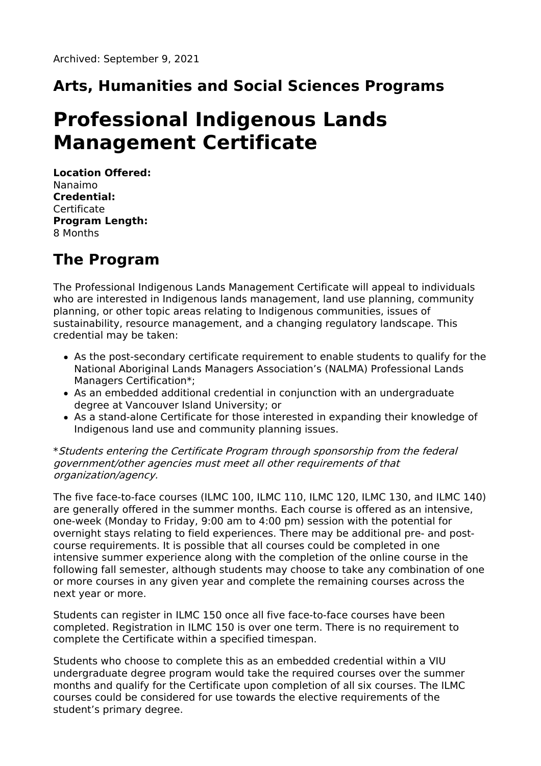# **Arts, Humanities and Social Sciences Programs**

# **Professional Indigenous Lands Management Certificate**

**Location Offered:** Nanaimo **Credential: Certificate Program Length:** 8 Months

## **The Program**

The Professional Indigenous Lands Management Certificate will appeal to individuals who are interested in Indigenous lands management, land use planning, community planning, or other topic areas relating to Indigenous communities, issues of sustainability, resource management, and a changing regulatory landscape. This credential may be taken:

- As the post-secondary certificate requirement to enable students to qualify for the National Aboriginal Lands Managers Association's (NALMA) Professional Lands Managers Certification\*;
- As an embedded additional credential in conjunction with an undergraduate degree at Vancouver Island University; or
- As a stand-alone Certificate for those interested in expanding their knowledge of Indigenous land use and community planning issues.

\*Students entering the Certificate Program through sponsorship from the federal government/other agencies must meet all other requirements of that organization/agency.

The five face-to-face courses (ILMC 100, ILMC 110, ILMC 120, ILMC 130, and ILMC 140) are generally offered in the summer months. Each course is offered as an intensive, one-week (Monday to Friday, 9:00 am to 4:00 pm) session with the potential for overnight stays relating to field experiences. There may be additional pre- and postcourse requirements. It is possible that all courses could be completed in one intensive summer experience along with the completion of the online course in the following fall semester, although students may choose to take any combination of one or more courses in any given year and complete the remaining courses across the next year or more.

Students can register in ILMC 150 once all five face-to-face courses have been completed. Registration in ILMC 150 is over one term. There is no requirement to complete the Certificate within a specified timespan.

Students who choose to complete this as an embedded credential within a VIU undergraduate degree program would take the required courses over the summer months and qualify for the Certificate upon completion of all six courses. The ILMC courses could be considered for use towards the elective requirements of the student's primary degree.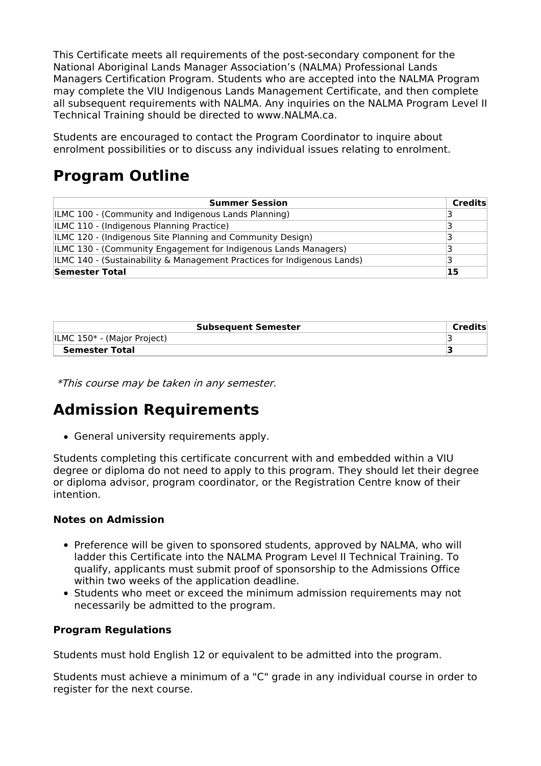This Certificate meets all requirements of the post-secondary component for the National Aboriginal Lands Manager Association's (NALMA) Professional Lands Managers Certification Program. Students who are accepted into the NALMA Program may complete the VIU Indigenous Lands Management Certificate, and then complete all subsequent requirements with NALMA. Any inquiries on the NALMA Program Level II Technical Training should be directed to www.NALMA.ca.

Students are encouraged to contact the Program Coordinator to inquire about enrolment possibilities or to discuss any individual issues relating to enrolment.

### **Program Outline**

| <b>Summer Session</b>                                                   | <b>Credits</b> |
|-------------------------------------------------------------------------|----------------|
| ILMC 100 - (Community and Indigenous Lands Planning)                    |                |
| ILMC 110 - (Indigenous Planning Practice)                               |                |
| ILMC 120 - (Indigenous Site Planning and Community Design)              |                |
| ILMC 130 - (Community Engagement for Indigenous Lands Managers)         |                |
| ILMC 140 - (Sustainability & Management Practices for Indigenous Lands) |                |
| <b>Semester Total</b>                                                   | 15             |

| <b>Subsequent Semester</b>  | Credits |
|-----------------------------|---------|
| ILMC 150* - (Major Project) |         |
| <b>Semester Total</b>       |         |

\*This course may be taken in any semester.

### **Admission Requirements**

General university requirements apply.

Students completing this certificate concurrent with and embedded within a VIU degree or diploma do not need to apply to this program. They should let their degree or diploma advisor, program coordinator, or the Registration Centre know of their intention.

#### **Notes on Admission**

- Preference will be given to sponsored students, approved by NALMA, who will ladder this Certificate into the NALMA Program Level II Technical Training. To qualify, applicants must submit proof of sponsorship to the Admissions Office within two weeks of the application deadline.
- Students who meet or exceed the minimum admission requirements may not necessarily be admitted to the program.

#### **Program Regulations**

Students must hold English 12 or equivalent to be admitted into the program.

Students must achieve a minimum of a "C" grade in any individual course in order to register for the next course.